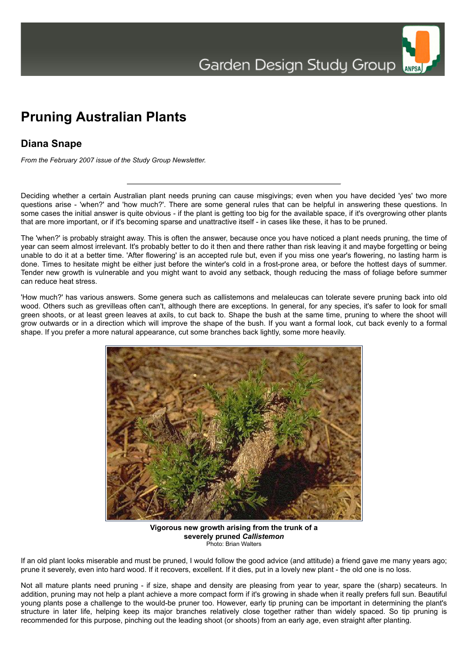## **Pruning Australian Plants**

## **Diana Snape**

*From the February 2007 issue of the Study Group Newsletter.*

Deciding whether a certain Australian plant needs pruning can cause misgivings; even when you have decided 'yes' two more questions arise - 'when?' and 'how much?'. There are some general rules that can be helpful in answering these questions. In some cases the initial answer is quite obvious - if the plant is getting too big for the available space, if it's overgrowing other plants that are more important, or if it's becoming sparse and unattractive itself - in cases like these, it has to be pruned.

The 'when?' is probably straight away. This is often the answer, because once you have noticed a plant needs pruning, the time of year can seem almost irrelevant. It's probably better to do it then and there rather than risk leaving it and maybe forgetting or being unable to do it at a better time. 'After flowering' is an accepted rule but, even if you miss one year's flowering, no lasting harm is done. Times to hesitate might be either just before the winter's cold in a frost-prone area, or before the hottest days of summer. Tender new growth is vulnerable and you might want to avoid any setback, though reducing the mass of foliage before summer can reduce heat stress.

'How much?' has various answers. Some genera such as callistemons and melaleucas can tolerate severe pruning back into old wood. Others such as grevilleas often can't, although there are exceptions. In general, for any species, it's safer to look for small green shoots, or at least green leaves at axils, to cut back to. Shape the bush at the same time, pruning to where the shoot will grow outwards or in a direction which will improve the shape of the bush. If you want a formal look, cut back evenly to a formal shape. If you prefer a more natural appearance, cut some branches back lightly, some more heavily.



**Vigorous new growth arising from the trunk of a severely pruned** *Callistemon* Photo: Brian Walters

If an old plant looks miserable and must be pruned, I would follow the good advice (and attitude) a friend gave me many years ago; prune it severely, even into hard wood. If it recovers, excellent. If it dies, put in a lovely new plant - the old one is no loss.

Not all mature plants need pruning - if size, shape and density are pleasing from year to year, spare the (sharp) secateurs. In addition, pruning may not help a plant achieve a more compact form if it's growing in shade when it really prefers full sun. Beautiful young plants pose a challenge to the would-be pruner too. However, early tip pruning can be important in determining the plant's structure in later life, helping keep its major branches relatively close together rather than widely spaced. So tip pruning is recommended for this purpose, pinching out the leading shoot (or shoots) from an early age, even straight after planting.